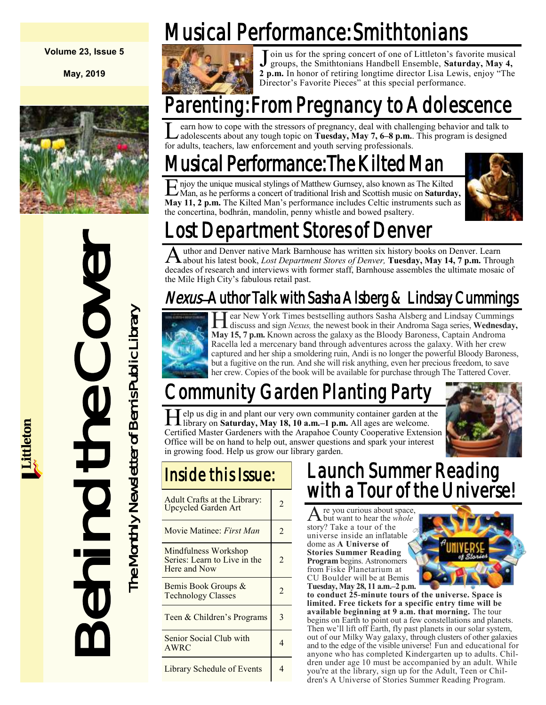#### **Volume 23, Issue 5**

**May, 2019**



# LOST Department<br>
Author and Denver native M<br>
decades of research and instantive Mexical School Lost<br>
the Mile High City's fabulous research and intervive<br>
Mexics and intervive Mexics and  $\frac{1}{2}$ . The Monthly IS, 7 p.m.

Musical Performance: Smithtonians



J oin us for the spring concert of one of Littleton's favorite musical groups, the Smithtonians Handbell Ensemble, Saturday, May 4, 2 p.m. In honor of retiring longtime director Lisa Lewis, enjoy "The oin us for the spring concert of one of Littleton's favorite musical groups, the Smithtonians Handbell Ensemble, **Saturday, May 4,**  Director's Favorite Pieces" at this special performance.

# Parenting: From Pregnancy to Adolescence

L earn how to cope with the stressors of pregnancy, deal with challer adolescents about any tough topic on Tuesday, May 7, 6–8 p.m..<br>for adults, teachers, law enforcement and youth serving professionals. earn how to cope with the stressors of pregnancy, deal with challenging behavior and talk to adolescents about any tough topic on **Tuesday, May 7, 6–8 p.m.**. This program is designed

# Musical Performance: The Kilted Man

E Man, as he performs a concert of traditional Irish and Scottish music on **Saturday,** njoy the unique musical stylings of Matthew Gurnsey, also known as The Kilted **May 11, 2 p.m.** The Kilted Man's performance includes Celtic instruments such as the concertina, bodhrán, mandolin, penny whistle and bowed psaltery.



# ost Department Stores of Denver

A uthor and Denver native Mark Barnhouse has written six history books on Denver. Learn<br>A about his latest book, *Lost Department Stores of Denver*, **Tuesday, May 14, 7 p.m.** Through uthor and Denver native Mark Barnhouse has written six history books on Denver. Learn decades of research and interviews with former staff, Barnhouse assembles the ultimate mosaic of the Mile High City's fabulous retail past.

## Nexus–Author Talk with Sasha Alsberg & Lindsay Cummings



H discuss and sign *Nexus,* the newest book in their Androma Saga series, **Wednesday,**  ear New York Times bestselling authors Sasha Alsberg and Lindsay Cummings **May 15, 7 p.m.** Known across the galaxy as the Bloody Baroness, Captain Androma Racella led a mercenary band through adventures across the galaxy. With her crew captured and her ship a smoldering ruin, Andi is no longer the powerful Bloody Baroness, but a fugitive on the run. And she will risk anything, even her precious freedom, to save her crew. Copies of the book will be available for purchase through The Tattered Cover.

# Community Garden Planting Par

Help us dig in and plant our very own community container garden at the library on **Saturday, May 18, 10 a.m.**-1 p.m. All ages are welcome. elp us dig in and plant our very own community container garden at the Certified Master Gardeners with the Arapahoe County Cooperative Extension Office will be on hand to help out, answer questions and spark your interest in growing food. Help us grow our library garden.



| Adult Crafts at the Library:<br><b>Upcycled Garden Art</b>           | 2              |
|----------------------------------------------------------------------|----------------|
| Movie Matinee: First Man                                             | $\mathfrak{D}$ |
| Mindfulness Workshop<br>Series: Learn to Live in the<br>Here and Now | 2              |
| Bemis Book Groups &<br><b>Technology Classes</b>                     | 2              |
| Teen & Children's Programs                                           | 3              |
| Senior Social Club with<br>AWRC                                      | 4              |
| Library Schedule of Events                                           |                |

## Launch Summer Reading with a Tour of the Universe!

A but want to hear the *whole*  re you curious about space, story? Take a tour of the universe inside an inflatable dome as **A Universe of Stories Summer Reading Program** begins. Astronomers from Fiske Planetarium at CU Boulder will be at Bemis **Tuesday, May 28, 11 a.m.–2 p.m.** 



**to conduct 25-minute tours of the universe. Space is limited. Free tickets for a specific entry time will be available beginning at 9 a.m. that morning.** The tour begins on Earth to point out a few constellations and planets. Then we'll lift off Earth, fly past planets in our solar system, out of our Milky Way galaxy, through clusters of other galaxies and to the edge of the visible universe! Fun and educational for anyone who has completed Kindergarten up to adults. Children under age 10 must be accompanied by an adult. While you're at the library, sign up for the Adult, Teen or Children's A Universe of Stories Summer Reading Program.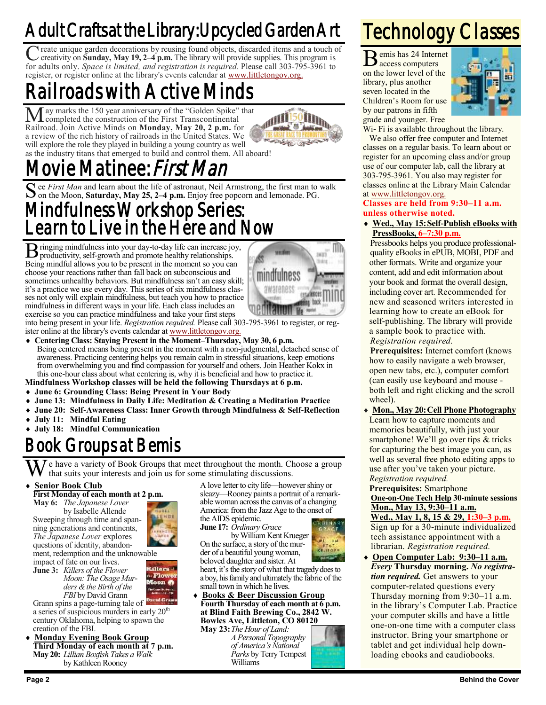# Adult Crafts at the Library: Upcycled Garden Art

C reate unique garden decorations by reusing found objects, discarded items and a touch of creativity on **Sunday, May 19, 2–4 p.m.** The library will provide supplies. This program is for adults only. *Space is limited, and* If reate unique garden decorations by reusing found objects, discarded items and a touch of creativity on **Sunday, May 19, 2–4 p.m.** The library will provide supplies. This program is register, or register online at the library's events calendar at [www.littletongov.org.](https://www.littletongov.org/city-services/city-departments/bemis-library/library-events-calendar/-curm-5/-cury-2019/-selcat-3)

# Railroads with Active Minds

ay marks the 150 year anniversary of the "Golden Spike" that completed the construction of the First Transcontinental Railroad. Join Active Minds on **Monday, May 20, 2 p.m.** for a review of the rich history of railroads in the United States. We will explore the role they played in building a young country as well as the industry titans that emerged to build and control them. All aboard!



# ie Matinee: *First Man*

S ee *First Man* and learn about the life of astronaut, Neil Armstrong, the first man to walk on the Moon, Saturday, May 25, 2-4 p.m. Enjoy free popcorn and lemonade. PG. on the Moon, **Saturday, May 25, 2–4 p.m.** Enjoy free popcorn and lemonade. PG.

## Mindfulness Workshop Series: Learn to Live in the Here and Now

B ringing mindfulness into your day-to-day life can increase joy, productivity, self-growth and promote healthy relationships. productivity, self-growth and promote healthy relationships. Being mindful allows you to be present in the moment so you can choose your reactions rather than fall back on subconscious and sometimes unhealthy behaviors. But mindfulness isn't an easy skill; it's a practice we use every day. This series of six mindfulness classes not only will explain mindfulness, but teach you how to practice mindfulness in different ways in your life. Each class includes an exercise so you can practice mindfulness and take your first steps



into being present in your life. *Registration required.* Please call 303-795-3961 to register, or register online at the library's events calendar at [www.littletongov.org.](https://www.littletongov.org/city-services/city-departments/bemis-library/library-events-calendar/-curm-5/-cury-2019/-selcat-3)

- **Centering Class: Staying Present in the Moment–Thursday, May 30, 6 p.m.** Being centered means being present in the moment with a non-judgmental, detached sense of awareness. Practicing centering helps you remain calm in stressful situations, keep emotions from overwhelming you and find compassion for yourself and others. Join Heather Kokx in this one-hour class about what centering is, why it is beneficial and how to practice it.
- **Mindfulness Workshop classes will be held the following Thursdays at 6 p.m.**
- **June 6: Grounding Class: Being Present in Your Body**
- **June 13: Mindfulness in Daily Life: Meditation & Creating a Meditation Practice**
- **June 20: Self-Awareness Class: Inner Growth through Mindfulness & Self-Reflection**
- **July 11: Mindful Eating**
- **July 18: Mindful Communication**

## Book Groups at Bemis

e have a variety of Book Groups that meet throughout the month. Choose a group that suits your interests and join us for some stimulating discussions.

#### **Senior Book Club**

**First Monday of each month at 2 p.m. May 6:** *The Japanese Lover* by Isabelle Allende Sweeping through time and span-

ning generations and continents, *The Japanese Lover* explores questions of identity, abandonment, redemption and the unknowable impact of fate on our lives.

**June 3:** *Killers of the Flower Moon: The Osage Murders & the Birth of the FBI* by David Grann

tillers : Flow Moon &

Grann spins a page-turning tale of a series of suspicious murders in early  $20<sup>th</sup>$ century Oklahoma, helping to spawn the creation of the FBI.

 **Monday Evening Book Group Third Monday of each month at 7 p.m.**

**May 20:** *Lillian Boxfish Takes a Walk* by Kathleen Rooney

A love letter to city life—however shiny or sleazy—Rooney paints a portrait of a remarkable woman across the canvas of a changing America: from the Jazz Age to the onset of the AIDS epidemic.

**June 17:** *Ordinary Grace*

by William Kent Krueger On the surface, a story of the murder of a beautiful young woman, beloved daughter and sister. At

heart, it's the story of what that tragedy does to a boy, his family and ultimatelythe fabric of the small town in which he lives.

 **Books & Beer Discussion Group Fourth Thursday of each month at 6 p.m. at Blind Faith Brewing Co., 2842 W. Bowles Ave, Littleton, CO 80120**

**May 23:***The Hour of Land: A Personal Topography of America's National Parks* by Terry Tempest Williams





## Technology Classes

B emis has 24 Internet access computers on the lower level of the library, plus another seven located in the Children's Room for use by our patrons in fifth grade and younger. Free



Wi- Fi is available throughout the library.

We also offer free computer and Internet classes on a regular basis. To learn about or register for an upcoming class and/or group use of our computer lab, call the library at 303-795-3961. You also may register for classes online at the Library Main Calendar at [www.littletongov.org.](https://www.littletongov.org/city-services/city-departments/bemis-library/library-events-calendar/-curm-4/-cury-2019/-selcat-157)

**Classes are held from 9:30–11 a.m. unless otherwise noted.**

 **Wed., May 15:Self-Publish eBooks with PressBooks, 6–7:30 p.m.**

Pressbooks helps you produce professionalquality eBooks in ePUB, MOBI, PDF and other formats. Write and organize your content, add and edit information about your book and format the overall design, including cover art. Recommended for new and seasoned writers interested in learning how to create an eBook for self-publishing. The library will provide a sample book to practice with. *Registration required.*

**Prerequisites:** Internet comfort (knows how to easily navigate a web browser, open new tabs, etc.), computer comfort (can easily use keyboard and mouse both left and right clicking and the scroll wheel).

 **Mon., May 20:Cell Phone Photography** Learn how to capture moments and memories beautifully, with just your smartphone! We'll go over tips & tricks for capturing the best image you can, as well as several free photo editing apps to use after you've taken your picture. *Registration required.*

#### **Prerequisites:** Smartphone **One-on-One Tech Help 30-minute sessions Mon., May 13, 9:30–11 a.m.**

**Wed., May 1, 8, 15 & 29, 1:30–3 p.m.** Sign up for a 30-minute individualized tech assistance appointment with a librarian. *Registration required.*

 **Open Computer Lab: 9:30–11 a.m.** *Every* **Thursday morning.** *No registration required.* Get answers to your computer-related questions every Thursday morning from 9:30–11 a.m. in the library's Computer Lab. Practice your computer skills and have a little one-on-one time with a computer class instructor. Bring your smartphone or tablet and get individual help downloading ebooks and eaudiobooks.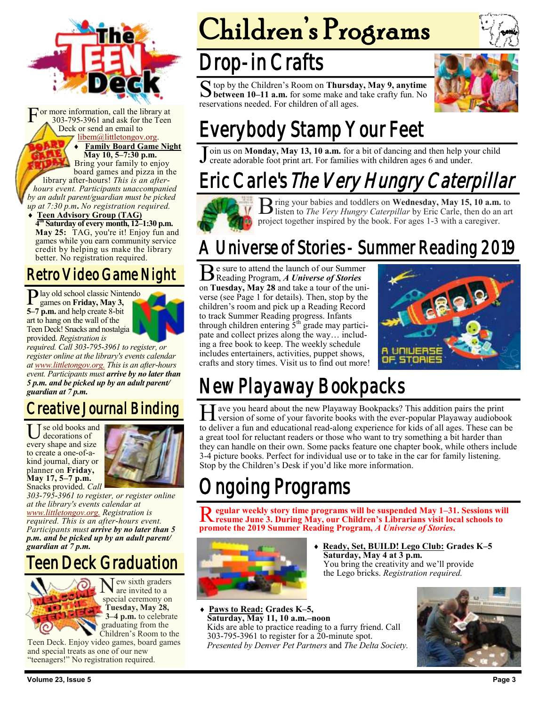

F or more information, call the library at 303-795-3961 and ask for the Teen Deck or send an email to [libem@littletongov.org.](mailto:libem@littletongov.org.)

**Family Board Game Night**

**May 10, 5–7:30 p.m.** Bring your family to enjoy board games and pizza in the library after-hours! *This is an afterhours event. Participants unaccompanied by an adult parent/guardian must be picked up at 7:30 p.m***.** *No registration required.*

 **Teen Advisory Group (TAG) 4 th Saturday of every month, 12–1:30 p.m. May 25:** TAG, you're it! Enjoy fun and games while you earn community service credit by helping us make the library better. No registration required.

### Retro Video Game Night

P lay old school classic Nintendo<br>games on Friday, May 3, games on **Friday, May 3, 5–7 p.m.** and help create 8-bit art to hang on the wall of the Teen Deck! Snacks and nostalgia provided. *Registration is*



*required. Call 303-795-3961 to register, or register online at the library's events calendar at [www.littletongov.org.](https://www.littletongov.org/city-services/city-departments/bemis-library/library-events-calendar/-curm-5/-cury-2019/-selcat-97) This is an after-hours event. Participants must arrive by no later than 5 p.m. and be picked up by an adult parent/ guardian at 7 p.m.*

## Creative Journal Binding

Use old books and<br>
every shape and size se old books and decorations of to create a one-of-akind journal, diary or planner on **Friday, May 17, 5–7 p.m.** Snacks provided. *Call* 



*303-795-3961 to register, or register online at the library's events calendar at [www.littletongov.org.](https://www.littletongov.org/city-services/city-departments/bemis-library/library-events-calendar/-curm-5/-cury-2019/-selcat-97) Registration is required. This is an after-hours event. Participants must arrive by no later than 5 p.m. and be picked up by an adult parent/ guardian at 7 p.m.*

Teen Deck Graduation



New sixth graders<br>are invited to a are invited to a special ceremony on **Tuesday, May 28, 3–4 p.m.** to celebrate graduating from the Children's Room to the

Teen Deck. Enjoy video games, board games and special treats as one of our new "teenagers!" No registration required.

# Children's Programs

# Drop-in Crafts

S top by the Children's Room on Thursday, May 9, anytime between 10–11 a.m. for some make and take crafty fun. No top by the Children's Room on **Thursday, May 9, anytime**  reservations needed. For children of all ages.



# Everybody Stamp Your Feet

 $\overline{\mathsf{J}}$ oin us on **Monday, May 13, 10 a.m.** for a bit of dancing and then help your child create adorable foot print art. For families with children ages 6 and under.

# Eric Carle's The Very Hungry Caterpillar



B ring your babies and toddlers on **Wednesday, May 15, 10 a.m.** to listen to *The Very Hungry Caterpillar* by Eric Carle, then do an ar listen to *The Very Hungry Caterpillar* by Eric Carle, then do an art project together inspired by the book. For ages 1-3 with a caregiver.

## A Universe of Stories - Summer Reading 2019

Be sure to attend the launch of our Summer<br>Reading Program, A Universe of Stories Reading Program, *A Universe of Stories*  on **Tuesday, May 28** and take a tour of the universe (see Page 1 for details). Then, stop by the children's room and pick up a Reading Record to track Summer Reading progress. Infants through children entering  $5<sup>th</sup>$  grade may participate and collect prizes along the way… including a free book to keep. The weekly schedule includes entertainers, activities, puppet shows, crafts and story times. Visit us to find out more!



# New Playaway Bookpacks

H ave you heard about the new Playaway Bookpacks? This addition pairs the print version of some of your favorite books with the ever-popular Playaway audioboc version of some of your favorite books with the ever-popular Playaway audiobook to deliver a fun and educational read-along experience for kids of all ages. These can be a great tool for reluctant readers or those who want to try something a bit harder than they can handle on their own. Some packs feature one chapter book, while others include 3-4 picture books. Perfect for individual use or to take in the car for family listening. Stop by the Children's Desk if you'd like more information.

# ngoing Programs

Regular weekly story time programs will be suspended May 1-31. Sessions will resume June 3. During May, our Children's Librarians visit local schools to **egular weekly story time programs will be suspended May 1–31. Sessions will promote the 2019 Summer Reading Program,** *A Universe of Stories***.**



- **Ready, Set, BUILD! Lego Club: Grades K–5 Saturday, May 4 at 3 p.m.** You bring the creativity and we'll provide the Lego bricks. *Registration required.*
- **Paws to Read: Grades K–5, Saturday, May 11, 10 a.m.–noon** Kids are able to practice reading to a furry friend. Call 303-795-3961 to register for a 20-minute spot. *Presented by Denver Pet Partners* and *The Delta Society.*